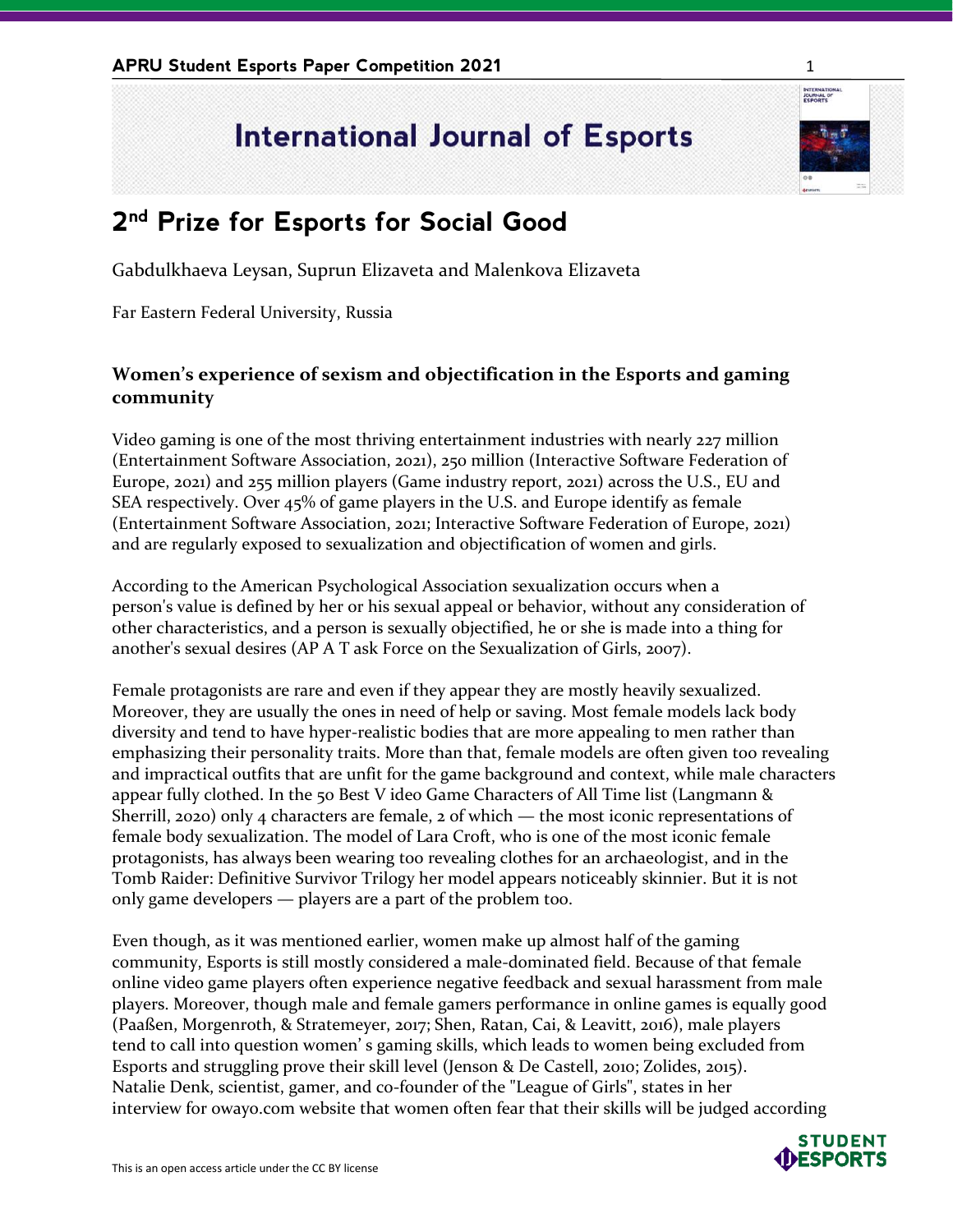## **International Journal of Esports**

## **2 nd Prize for Esports for Social Good**

Gabdulkhaeva Leysan, Suprun Elizaveta and Malenkova Elizaveta

Far Eastern Federal University, Russia

## **Women's experience of sexism and objectification in the Esports and gaming community**

Video gaming is one of the most thriving entertainment industries with nearly 227 million (Entertainment Software Association, 2021), 250 million (Interactive Software Federation of Europe, 2021) and 255 million players (Game industry report, 2021) across the U.S., EU and SEA respectively. Over 45% of game players in the U.S. and Europe identify as female (Entertainment Software Association, 2021; Interactive Software Federation of Europe, 2021) and are regularly exposed to sexualization and objectification of women and girls.

According to the American Psychological Association sexualization occurs when a person's value is defined by her or his sexual appeal or behavior, without any consideration of other characteristics, and a person is sexually objectified, he or she is made into a thing for another's sexual desires (AP A T ask Force on the Sexualization of Girls, 2007).

Female protagonists are rare and even if they appear they are mostly heavily sexualized. Moreover, they are usually the ones in need of help or saving. Most female models lack body diversity and tend to have hyper-realistic bodies that are more appealing to men rather than emphasizing their personality traits. More than that, female models are often given too revealing and impractical outfits that are unfit for the game background and context, while male characters appear fully clothed. In the 50 Best V ideo Game Characters of All Time list (Langmann & Sherrill, 2020) only 4 characters are female, 2 of which — the most iconic representations of female body sexualization. The model of Lara Croft, who is one of the most iconic female protagonists, has always been wearing too revealing clothes for an archaeologist, and in the Tomb Raider: Definitive Survivor Trilogy her model appears noticeably skinnier. But it is not only game developers — players are a part of the problem too.

Even though, as it was mentioned earlier, women make up almost half of the gaming community, Esports is still mostly considered a male-dominated field. Because of that female online video game players often experience negative feedback and sexual harassment from male players. Moreover, though male and female gamers performance in online games is equally good (Paaßen, Morgenroth, & Stratemeyer, 2017; Shen, Ratan, Cai, & Leavitt, 2016), male players tend to call into question women' s gaming skills, which leads to women being excluded from Esports and struggling prove their skill level (Jenson & De Castell, 2010; Zolides, 2015). Natalie Denk, scientist, gamer, and co-founder of the "League of Girls", states in her interview for owayo.com website that women often fear that their skills will be judged according



INTERNATION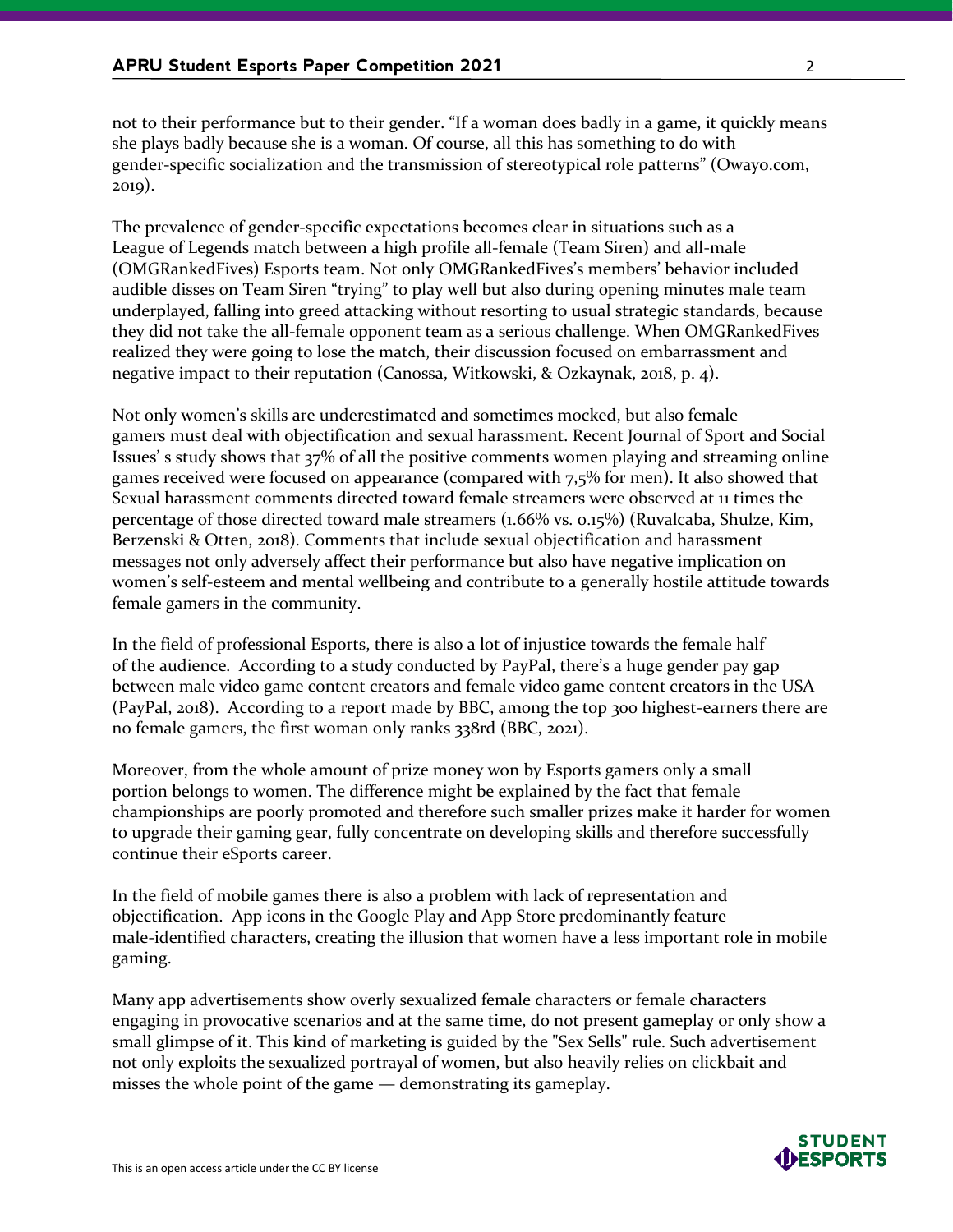not to their performance but to their gender. "If a woman does badly in a game, it quickly means she plays badly because she is a woman. Of course, all this has something to do with gender-specific socialization and the transmission of stereotypical role patterns" (Owayo.com, 2019).

The prevalence of gender-specific expectations becomes clear in situations such as a League of Legends match between a high profile all-female (Team Siren) and all-male (OMGRankedFives) Esports team. Not only OMGRankedFives's members' behavior included audible disses on Team Siren "trying" to play well but also during opening minutes male team underplayed, falling into greed attacking without resorting to usual strategic standards, because they did not take the all-female opponent team as a serious challenge. When OMGRankedFives realized they were going to lose the match, their discussion focused on embarrassment and negative impact to their reputation (Canossa, Witkowski, & Ozkaynak, 2018, p. 4).

Not only women's skills are underestimated and sometimes mocked, but also female gamers must deal with objectification and sexual harassment. Recent Journal of Sport and Social Issues' s study shows that 37% of all the positive comments women playing and streaming online games received were focused on appearance (compared with 7,5% for men). It also showed that Sexual harassment comments directed toward female streamers were observed at 11 times the percentage of those directed toward male streamers (1.66% vs. 0.15%) (Ruvalcaba, Shulze, Kim, Berzenski & Otten, 2018). Comments that include sexual objectification and harassment messages not only adversely affect their performance but also have negative implication on women's self-esteem and mental wellbeing and contribute to a generally hostile attitude towards female gamers in the community.

In the field of professional Esports, there is also a lot of injustice towards the female half of the audience. According to a study conducted by PayPal, there's a huge gender pay gap between male video game content creators and female video game content creators in the USA (PayPal, 2018). According to a report made by BBC, among the top 300 highest-earners there are no female gamers, the first woman only ranks 338rd (BBC, 2021).

Moreover, from the whole amount of prize money won by Esports gamers only a small portion belongs to women. The difference might be explained by the fact that female championships are poorly promoted and therefore such smaller prizes make it harder for women to upgrade their gaming gear, fully concentrate on developing skills and therefore successfully continue their eSports career.

In the field of mobile games there is also a problem with lack of representation and objectification. App icons in the Google Play and App Store predominantly feature male-identified characters, creating the illusion that women have a less important role in mobile gaming.

Many app advertisements show overly sexualized female characters or female characters engaging in provocative scenarios and at the same time, do not present gameplay or only show a small glimpse of it. This kind of marketing is guided by the "Sex Sells" rule. Such advertisement not only exploits the sexualized portrayal of women, but also heavily relies on clickbait and misses the whole point of the game — demonstrating its gameplay.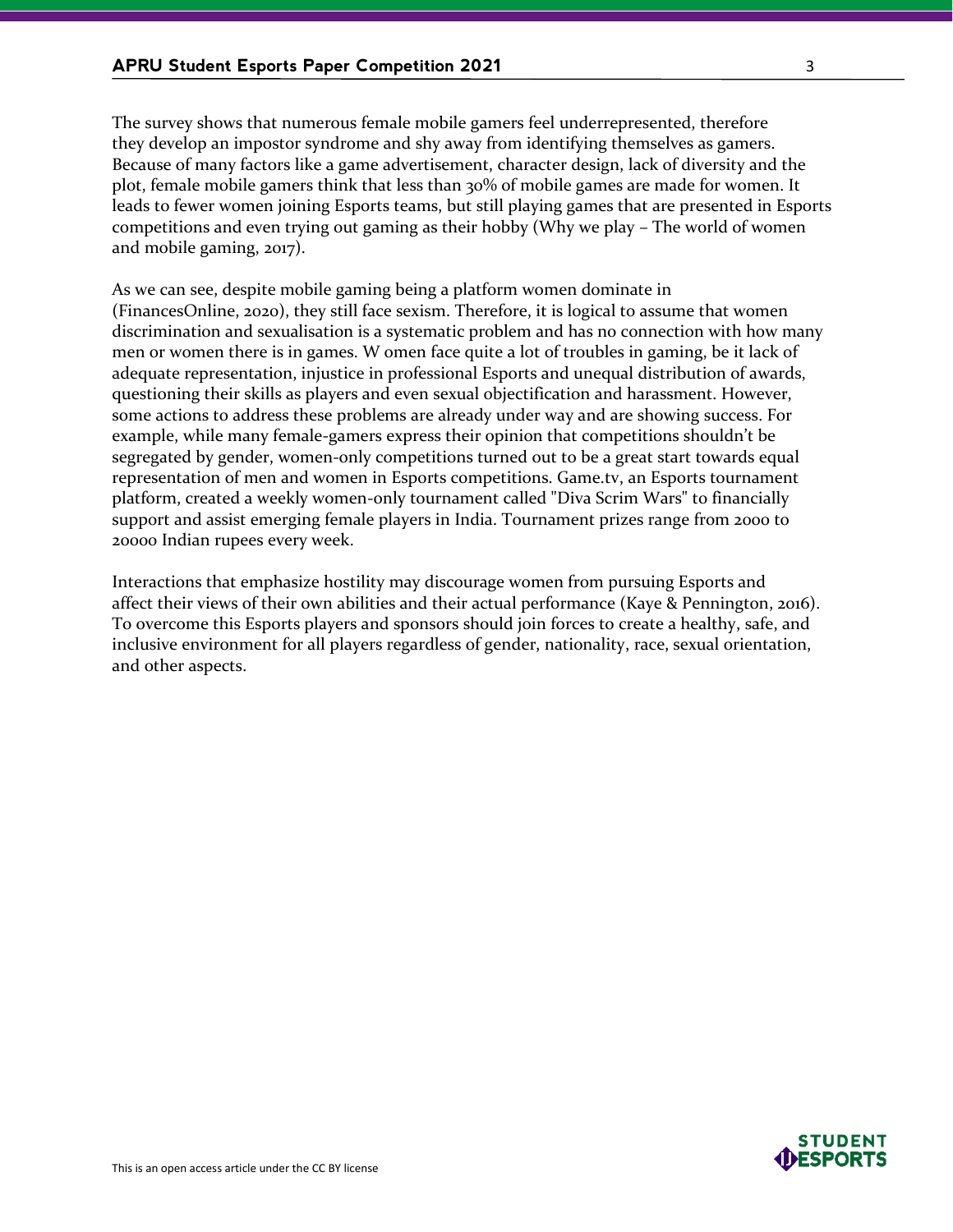The survey shows that numerous female mobile gamers feel underrepresented, therefore they develop an impostor syndrome and shy away from identifying themselves as gamers. Because of many factors like a game advertisement, character design, lack of diversity and the plot, female mobile gamers think that less than 30% of mobile games are made for women. It leads to fewer women joining Esports teams, but still playing games that are presented in Esports competitions and even trying out gaming as their hobby (Why we play – The world of women and mobile gaming, 2017).

As we can see, despite mobile gaming being a platform women dominate in (FinancesOnline, 2020), they still face sexism. Therefore, it is logical to assume that women discrimination and sexualisation is a systematic problem and has no connection with how many men or women there is in games. W omen face quite a lot of troubles in gaming, be it lack of adequate representation, injustice in professional Esports and unequal distribution of awards, questioning their skills as players and even sexual objectification and harassment. However, some actions to address these problems are already under way and are showing success. For example, while many female-gamers express their opinion that competitions shouldn't be segregated by gender, women-only competitions turned out to be a great start towards equal representation of men and women in Esports competitions. Game.tv, an Esports tournament platform, created a weekly women-only tournament called "Diva Scrim Wars" to financially support and assist emerging female players in India. Tournament prizes range from 2000 to 20000 Indian rupees every week.

Interactions that emphasize hostility may discourage women from pursuing Esports and affect their views of their own abilities and their actual performance (Kaye & Pennington, 2016). To overcome this Esports players and sponsors should join forces to create a healthy, safe, and inclusive environment for all players regardless of gender, nationality, race, sexual orientation, and other aspects.